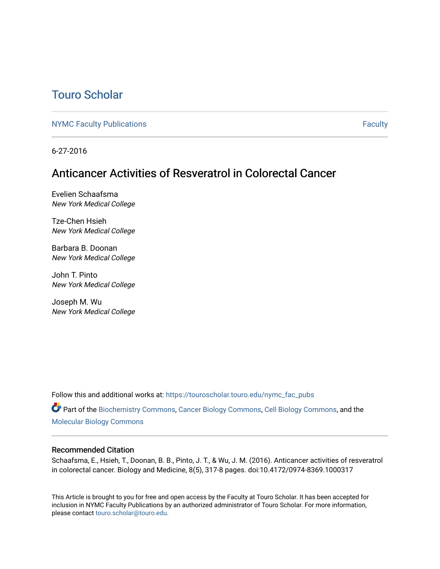## [Touro Scholar](https://touroscholar.touro.edu/)

[NYMC Faculty Publications](https://touroscholar.touro.edu/nymc_fac_pubs) **Faculty** [Faculty](https://touroscholar.touro.edu/nymc_faculty) Faculty

6-27-2016

## Anticancer Activities of Resveratrol in Colorectal Cancer

Evelien Schaafsma New York Medical College

Tze-Chen Hsieh New York Medical College

Barbara B. Doonan New York Medical College

John T. Pinto New York Medical College

Joseph M. Wu New York Medical College

Follow this and additional works at: [https://touroscholar.touro.edu/nymc\\_fac\\_pubs](https://touroscholar.touro.edu/nymc_fac_pubs?utm_source=touroscholar.touro.edu%2Fnymc_fac_pubs%2F85&utm_medium=PDF&utm_campaign=PDFCoverPages)

Part of the [Biochemistry Commons](http://network.bepress.com/hgg/discipline/2?utm_source=touroscholar.touro.edu%2Fnymc_fac_pubs%2F85&utm_medium=PDF&utm_campaign=PDFCoverPages), [Cancer Biology Commons,](http://network.bepress.com/hgg/discipline/12?utm_source=touroscholar.touro.edu%2Fnymc_fac_pubs%2F85&utm_medium=PDF&utm_campaign=PDFCoverPages) [Cell Biology Commons,](http://network.bepress.com/hgg/discipline/10?utm_source=touroscholar.touro.edu%2Fnymc_fac_pubs%2F85&utm_medium=PDF&utm_campaign=PDFCoverPages) and the [Molecular Biology Commons](http://network.bepress.com/hgg/discipline/5?utm_source=touroscholar.touro.edu%2Fnymc_fac_pubs%2F85&utm_medium=PDF&utm_campaign=PDFCoverPages) 

## Recommended Citation

Schaafsma, E., Hsieh, T., Doonan, B. B., Pinto, J. T., & Wu, J. M. (2016). Anticancer activities of resveratrol in colorectal cancer. Biology and Medicine, 8(5), 317-8 pages. doi:10.4172/0974-8369.1000317

This Article is brought to you for free and open access by the Faculty at Touro Scholar. It has been accepted for inclusion in NYMC Faculty Publications by an authorized administrator of Touro Scholar. For more information, please contact [touro.scholar@touro.edu](mailto:touro.scholar@touro.edu).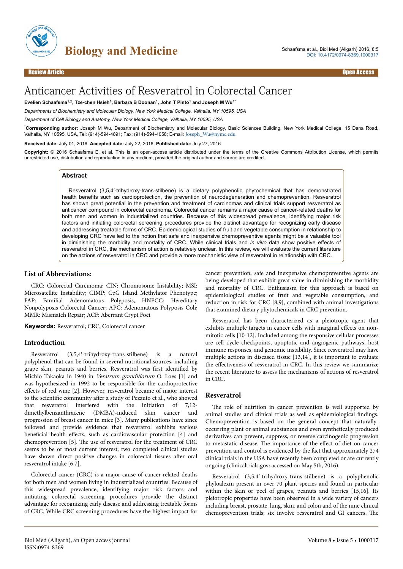

# Anticancer Activities of Resveratrol in Colorectal Cancer

**Evelien Schaafsma**1,2**, Tze-chen Hsieh**<sup>1</sup> **, Barbara B Doonan**<sup>1</sup> **, John T Pinto**<sup>1</sup>  **and Joseph M Wu**1\*

*Departments of Biochemistry and Molecular Biology, New York Medical College, Valhalla, NY 10595, USA*

*Department of Cell Biology and Anatomy, New York Medical College, Valhalla, NY 10595, USA*

\***Corresponding author:** Joseph M Wu, Department of Biochemistry and Molecular Biology, Basic Sciences Building, New York Medical College, 15 Dana Road, Valhalla, NY 10595, USA, Tel: (914)-594-4891; Fax: (914)-594-4058; E-mail: [Joseph\\_Wu@nymc.edu](mailto:Joseph_Wu@nymc.edu)

**Received date:** July 01, 2016; **Accepted date:** July 22, 2016; **Published date:** July 27, 2016

**Copyright:** © 2016 Schaafsma E, et al. This is an open-access article distributed under the terms of the Creative Commons Attribution License, which permits unrestricted use, distribution and reproduction in any medium, provided the original author and source are credited.

## **Abstract**

Resveratrol (3,5,4′-trihydroxy-trans-stilbene) is a dietary polyphenolic phytochemical that has demonstrated health benefits such as cardioprotection, the prevention of neurodegeneration and chemoprevention. Resveratrol has shown great potential in the prevention and treatment of carcinomas and clinical trials support resveratrol as anticancer compound in colorectal carcinoma. Colorectal cancer remains a major cause of cancer-related deaths for both men and women in industrialized countries. Because of this widespread prevalence, identifying major risk factors and initiating colorectal screening procedures provide the distinct advantage for recognizing early disease and addressing treatable forms of CRC. Epidemiological studies of fruit and vegetable consumption in relationship to developing CRC have led to the notion that safe and inexpensive chemopreventive agents might be a valuable tool in diminishing the morbidity and mortality of CRC. While clinical trials and *in vivo* data show positive effects of resveratrol in CRC, the mechanism of action is relatively unclear. In this review, we will evaluate the current literature on the actions of resveratrol in CRC and provide a more mechanistic view of resveratrol in relationship with CRC.

#### **List of Abbreviations:**

CRC: Colorectal Carcinoma; CIN: Chromosome Instability; MSI: Microsatellite Instability; CIMP: CpG Island Methylator Phenotype; FAP: Familial Adenomatous Polyposis, HNPCC: Hereditary Nonpolyposis Colorectal Cancer; APC: Adenomatous Polyposis Coli; MMR: Mismatch Repair; ACF: Aberrant Crypt Foci

**Keywords:** Resveratrol; CRC; Colorectal cancer

## **Introduction**

Resveratrol (3,5,4′-trihydroxy-trans-stilbene) is a natural polyphenol that can be found in several nutritional sources, including grape skin, peanuts and berries. Resveratrol was first identified by Michio Takaoka in 1940 in Veratrum grandiflorum O. Loes [1] and was hypothesized in 1992 to be responsible for the cardioprotective effects of red wine [2]. However, resveratrol became of major interest to the scientific community after a study of Pezzuto et al., who showed that resveratrol interfered with the initiation of 7,12 dimethylbenzanthracene (DMBA)-induced skin cancer and progression of breast cancer in mice [3]. Many publications have since followed and provide evidence that resveratrol exhibits various beneficial health effects, such as cardiovascular protection [4] and chemoprevention [5]. Нe use of resveratrol for the treatment of CRC seems to be of most current interest; two completed clinical studies have shown direct positive changes in colorectal tissues after oral resveratrol intake [6,7].

Colorectal cancer (CRC) is a major cause of cancer-related deaths for both men and women living in industrialized countries. Because of this widespread prevalence, identifying major risk factors and initiating colorectal screening procedures provide the distinct advantage for recognizing early disease and addressing treatable forms of CRC. While CRC screening procedures have the highest impact for cancer prevention, safe and inexpensive chemopreventive agents are being developed that exhibit great value in diminishing the morbidity and mortality of CRC. Enthusiasm for this approach is based on epidemiological studies of fruit and vegetable consumption, and reduction in risk for CRC [8,9], combined with animal investigations that examined dietary phytochemicals in CRC prevention.

Resveratrol has been characterized as a pleiotropic agent that exhibits multiple targets in cancer cells with marginal effects on nonmitotic cells [10-12]. Included among the responsive cellular processes are cell cycle checkpoints, apoptotic and angiogenic pathways, host immune responses, and genomic instability. Since resveratrol may have multiple actions in diseased tissue [13,14], it is important to evaluate the effectiveness of resveratrol in CRC. In this review we summarize the recent literature to assess the mechanisms of actions of resveratrol in CRC.

## **Resveratrol**

The role of nutrition in cancer prevention is well supported by animal studies and clinical trials as well as epidemiological findings. Chemoprevention is based on the general concept that naturallyoccurring plant or animal substances and even synthetically produced derivatives can prevent, suppress, or reverse carcinogenic progression to metastatic disease. The importance of the effect of diet on cancer prevention and control is evidenced by the fact that approximately 274 clinical trials in the USA have recently been completed or are currently ongoing (clinicaltrials.gov: accessed on May 5th, 2016).

Resveratrol (3,5,4′-trihydroxy-trans-stilbene) is a polyphenolic phyloalexin present in over 70 plant species and found in particular within the skin or peel of grapes, peanuts and berries [15,16]. Its pleiotropic properties have been observed in a wide variety of cancers including breast, prostate, lung, skin, and colon and of the nine clinical chemoprevention trials; six involve resveratrol and GI cancers. Нe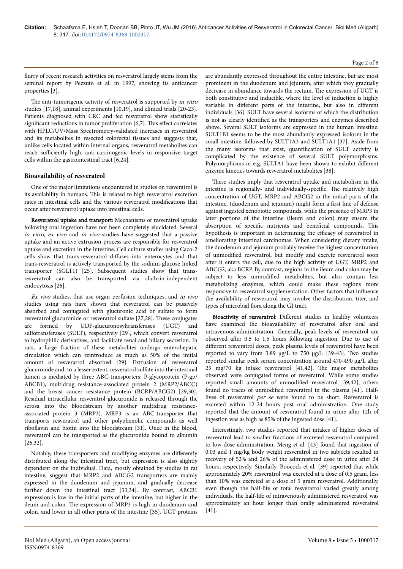#### flurry of recent research activities on resveratrol largely stems from the seminal report by Pezzuto et al. in 1997, showing its anticancer properties [3].

The anti-tumorigenic activity of resveratrol is supported by in vitro studies [17,18], animal experiments [10,19], and clinical trials [20-23]. Patients diagnosed with CRC and fed resveratrol show statistically significant reductions in tumor proliferation  $[6,7]$ . This effect correlates with HPLC/UV/Mass Spectrometry-validated increases in resveratrol and its metabolites in resected colorectal tissues and suggests that, unlike cells located within internal organs, resveratrol metabolites can reach sufficiently high, anti-carcinogenic levels in responsive target cells within the gastrointestinal tract [6,24].

## **Bioavailability of resveratrol**

One of the major limitations encountered in studies on resveratrol is its availability in humans. Нis is related to high resveratrol excretion rates in intestinal cells and the various resveratrol modifications that occur after resveratrol uptake into intestinal cells.

Resveratrol uptake and transport: Mechanisms of resveratrol uptake following oral ingestion have not been completely elucidated. Several in vitro, ex vivo and in vivo studies have suggested that a passive uptake and an active extrusion process are responsible for resveratrol uptake and excretion in the intestine. Cell culture studies using Caco-2 cells show that trans-resveratrol diffuses into enterocytes and that trans-resveratrol is actively transported by the sodium-glucose linked transporter (SGLT1) [25]. Subsequent studies show that transresveratrol can also be transported via clathrin-independent endocytosis [26].

Ex vivo studies, that use organ perfusion techniques, and in vivo studies using rats have shown that resveratrol can be passively absorbed and conjugated with glucuronic acid or sulfate to form resveratrol glucuronide or resveratrol sulfate [27,28]. Нese conjugates are formed by UDP-glucuronosyltransferases (UGT) and sulfotransferases (SULT), respectively [29], which convert resveratrol to hydrophilic derivatives, and facilitate renal and biliary secretion. In rats, a large fraction of these metabolites undergo enterohepatic circulation which can reintroduce as much as 50% of the initial amount of resveratrol absorbed [29]. Extrusion of resveratrol glucuronide and, to a lesser extent, resveratrol sulfate into the intestinal lumen is mediated by three ABC-transporters: P-glycoprotein (P-gp/ ABCB1), multidrug resistance-associated protein 2 (MRP2/ABCC) and the breast cancer resistance protein (BCRP/ABCG2) [29,30]. Residual intracellular resveratrol glucuronide is released through the serosa into the bloodstream by another multidrug resistanceassociated protein 3 (MRP3). MRP3 is an ABC-transporter that transports resveratrol and other polyphenolic compounds as well riboflavin and biotin into the bloodstream [31]. Once in the blood, resveratrol can be transported as the glucuronide bound to albumin [26,32].

Notably, these transporters and modifying enzymes are differently distributed along the intestinal tract, but expression is also slightly dependent on the individual. Data, mostly obtained by studies in rat intestine, suggest that MRP2 and ABCG2 transporters are mainly expressed in the duodenum and jejunum, and gradually decrease further down the intestinal tract [33,34]. By contrast, ABCB1 expression is low in the initial parts of the intestine, but higher in the ileum and colon. Нe expression of MRP3 is high in duodenum and colon, and lower in all other parts of the intestine [35]. UGT proteins

are abundantly expressed throughout the entire intestine, but are most prominent in the duodenum and jejunum, after which they gradually decrease in abundance towards the rectum. Нe expression of UGT is both constitutive and inducible, where the level of induction is highly variable in different parts of the intestine, but also in different individuals [36]. SULT have several isoforms of which the distribution is not as clearly identified as the transporters and enzymes described above. Several SULT isoforms are expressed in the human intestine. SULT1B1 seems to be the most abundantly expressed isoform in the small intestine, followed by SULT1A3 and SULT1A1 [37]. Aside from the many isoforms that exist, quantification of SULT activity is complicated by the existence of several SULT polymorphisms. Polymorphisms in e.g. SULTA1 have been shown to exhibit different enzyme kinetics towards resveratrol metabolites [38].

These studies imply that resveratrol uptake and metabolism in the intestine is regionally- and individually-specific. Нe relatively high concentration of UGT, MRP2 and ABCG2 in the initial parts of the intestine, (duodenum and jejunum) might form a first line of defense against ingested xenobiotic compounds, while the presence of MRP3 in later portions of the intestine (ileum and colon) may ensure the absorption of specific nutrients and beneficial compounds. Нis hypothesis is important in determining the efficacy of resveratrol in ameliorating intestinal carcinomas. When considering dietary intake, the duodenum and jejunum probably receive the highest concentration of unmodified resveratrol, but modify and excrete resveratrol soon after it enters the cell, due to the high activity of UGT, MRP2 and ABCG2, aka BCRP. By contrast, regions in the ileum and colon may be subject to less unmodified metabolites, but also contain less metabolizing enzymes, which could make these regions more responsive to resveratrol supplementation. Other factors that influence the availability of resveratrol may involve the distribution, titer, and types of microbial flora along the GI tract.

Bioactivity of resveratrol: Different studies in healthy volunteers have examined the bioavailability of resveratrol after oral and intravenous administration. Generally, peak levels of resveratrol are observed after 0.5 to 1.5 hours following ingestion. Due to use of different resveratrol doses, peak plasma levels of resveratrol have been reported to vary from 3.89 μg/L to 750 μg/L [39-43]. Two studies reported similar peak serum concentration around 470-490 μg/L after 25 mg/70 kg intake resveratrol [41,42]. Нe major metabolites observed were conjugated forms of resveratrol. While some studies reported small amounts of unmodified resveratrol [39,42], others found no traces of unmodified resveratrol in the plasma [41]. Halflives of resveratrol per se were found to be short. Resveratrol is excreted within 12-24 hours post oral administration. One study reported that the amount of resveratrol found in urine after 12h of ingestion was as high as 85% of the ingested dose [41].

Interestingly, two studies reported that intakes of higher doses of resveratrol lead to smaller fractions of excreted resveratrol compared to low-dose administration. Meng et al. [43] found that ingestion of 0.03 and 1 mg/kg body weight resveratrol in two subjects resulted in recovery of 52% and 26% of the administered dose in urine after 24 hours, respectively. Similarly, Boocock et al. [39] reported that while approximately 20% resveratrol was excreted at a dose of 0.5 gram, less than 10% was excreted at a dose of 5 gram resveratrol. Additionally, even though the half-life of total resveratrol varied greatly among individuals, the half-life of intravenously administered resveratrol was approximately an hour longer than orally administered resveratrol [41].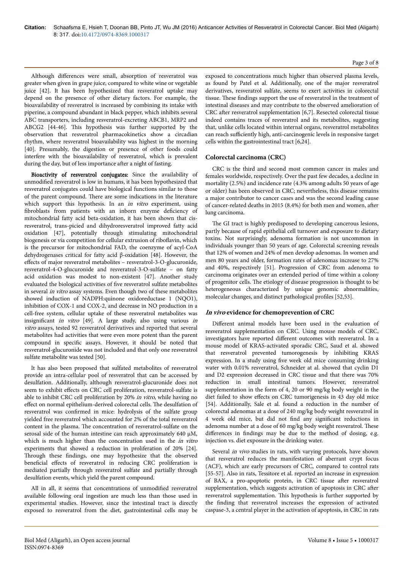Although differences were small, absorption of resveratrol was greater when given in grape juice, compared to white wine or vegetable juice [42]. It has been hypothesized that resveratrol uptake may depend on the presence of other dietary factors. For example, the bioavailability of resveratrol is increased by combining its intake with piperine, a compound abundant in black pepper, which inhibits several ABC transporters, including resveratrol-excreting ABCB1, MRP2 and ABCG2 [44-46]. Нis hypothesis was further supported by the observation that resveratrol pharmacokinetics show a circadian rhythm, where resveratrol bioavailability was highest in the morning [40]. Presumably, the digestion or presence of other foods could interfere with the bioavailability of resveratrol, which is prevalent during the day, but of less importance after a night of fasting.

Bioactivity of resveratrol conjugates: Since the availability of unmodified resveratrol is low in humans, it has been hypothesized that resveratrol conjugates could have biological functions similar to those of the parent compound. Нere are some indications in the literature which support this hypothesis. In an *in vitro* experiment, using fibroblasts from patients with an inborn enzyme deficiency of mitochondrial fatty acid beta-oxidation, it has been shown that cisresveratrol, trans-picied and dihydroresveratrol improved fatty acid oxidation [47], potentially through stimulating mitochondrial biogenesis or via competition for cellular extrusion of riboflavin, which is the precursor for mitochondrial FAD, the coenzyme of acyl-CoA dehydrogenases critical for fatty acid β-oxidation [48]. However, the effects of major resveratrol metabolites - resveratrol-3-O-glucuronide, resveratrol-4-O-glucuronide and resveratrol-3-O-sulfate – on fatty acid oxidation was modest to non-existent [47]. Another study evaluated the biological activities of five resveratrol sulfate metabolites in several in vitro assay systems. Even though two of these metabolites showed induction of NADPH:quinone oxidoreductase 1 (NQO1), inhibition of COX-1 and COX-2, and decrease in NO production in a cell-free system, cellular uptake of these resveratrol metabolites was insignificant in vitro [49]. A large study, also using various in vitro assays, tested 92 resveratrol derivatives and reported that several metabolites had activities that were even more potent than the parent compound in specific assays. However, it should be noted that resveratrol-glucuronide was not included and that only one resveratrol sulfate metabolite was tested [50].

It has also been proposed that sulfated metabolites of resveratrol provide an intra-cellular pool of resveratrol that can be accessed by desulfation. Additionally, although resveratrol-glucuronide does not seem to exhibit effects on CRC cell proliferation, resveratrol-sulfate is able to inhibit CRC cell proliferation by 20% in vitro, while having no effect on normal epithelium-derived colorectal cells. The desulfation of resveratrol was confirmed in mice: hydrolysis of the sulfate group yielded free resveratrol which accounted for 2% of the total resveratrol content in the plasma. Нe concentration of resveratrol-sulfate on the serosal side of the human intestine can reach approximately 640 μM, which is much higher than the concentration used in the *in vitro* experiments that showed a reduction in proliferation of 20% [24]. Through these findings, one may hypothesize that the observed beneficial effects of resveratrol in reducing CRC proliferation is mediated partially through resveratrol sulfate and partially through desulfation events, which yield the parent compound.

All in all, it seems that concentrations of unmodified resveratrol available following oral ingestion are much less than those used in experimental studies. However, since the intestinal tract is directly exposed to resveratrol from the diet, gastrointestinal cells may be

exposed to concentrations much higher than observed plasma levels, as found by Patel et al. Additionally, one of the major resveratrol derivatives, resveratrol sulfate, seems to exert activities in colorectal tissue. Нese findings support the use of resveratrol in the treatment of intestinal diseases and may contribute to the observed amelioration of CRC after resveratrol supplementation [6,7]. Resected colorectal tissue indeed contains traces of resveratrol and its metabolites, suggesting that, unlike cells located within internal organs, resveratrol metabolites can reach sufficiently high, anti-carcinogenic levels in responsive target cells within the gastrointestinal tract [6,24].

## **Colorectal carcinoma (CRC)**

CRC is the third and second most common cancer in males and females worldwide, respectively. Over the past few decades, a decline in mortality (2.5%) and incidence rate (4.3% among adults 50 years of age or older) has been observed in CRC; nevertheless, this disease remains a major contributor to cancer cases and was the second leading cause of cancer-related deaths in 2015 (8.4%) for both men and women, after lung carcinoma.

The GI tract is highly predisposed to developing cancerous lesions, partly because of rapid epithelial cell turnover and exposure to dietary toxins. Not surprisingly, adenoma formation is not uncommon in individuals younger than 50 years of age. Colorectal screening reveals that 12% of women and 24% of men develop adenomas. In women and men 80 years and older, formation rates of adenomas increase to 27% and 40%, respectively [51]. Progression of CRC from adenoma to carcinoma originates over an extended period of time within a colony of progenitor cells. Нe etiology of disease progression is thought to be heterogeneous characterized by unique genomic abnormalities, molecular changes, and distinct pathological profiles [52,53].

#### **In vivo evidence for chemoprevention of CRC**

Different animal models have been used in the evaluation of resveratrol supplementation on CRC. Using mouse models of CRC, investigators have reported different outcomes with resveratrol. In a mouse model of KRAS-activated sporadic CRC, Saud et al. showed that resveratrol prevented tumorogenesis by inhibiting KRAS expression. In a study using five week old mice consuming drinking water with 0.01% resveratrol, Schneider at al. showed that cyclin D1 and D2 expression decreased in CRC tissue and that there was 70% reduction in small intestinal tumors. However, resveratrol supplementation in the form of 4, 20 or 90 mg/kg body weight in the diet failed to show effects on CRC tumorigenesis in 43 day old mice [54]. Additionally, Sale et al. found a reduction in the number of colorectal adenomas at a dose of 240 mg/kg body weight resveratrol in 4 week old mice, but did not find any significant reductions in adenoma number at a dose of 60 mg/kg body weight resveratrol. Нese differences in findings may be due to the method of dosing, e.g. injection vs. diet exposure in the drinking water.

Several in vivo studies in rats, with varying protocols, have shown that resveratrol reduces the manifestation of aberrant crypt focus (ACF), which are early precursors of CRC, compared to control rats [55-57]. Also in rats, Tessitore et al. reported an increase in expression of BAX, a pro-apoptotic protein, in CRC tissue after resveratrol supplementation, which suggests activation of apoptosis in CRC after resveratrol supplementation. Нis hypothesis is further supported by the finding that resveratrol increases the expression of activated caspase-3, a central player in the activation of apoptosis, in CRC in rats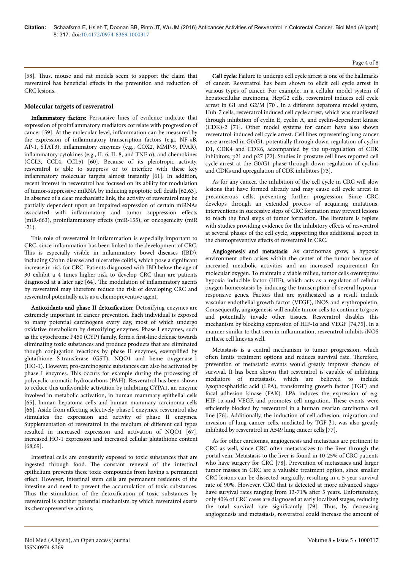[58]. Нus, mouse and rat models seem to support the claim that resveratrol has beneficial effects in the prevention and reduction of CRC lesions.

#### **Molecular targets of resveratrol**

Inflammatory factors: Persuasive lines of evidence indicate that expression of proinflammatory mediators correlate with progression of cancer [59]. At the molecular level, inflammation can be measured by the expression of inflammatory transcription factors (e.g., NF-κB, AP-1, STAT3), inflammatory enzymes (e.g., COX2, MMP-9, PPAR), inflammatory cytokines (e.g., IL-6, IL-8, and TNF-α), and chemokines (CCL3, CCL4, CCL5) [60]. Because of its pleiotropic activity, resveratrol is able to suppress or to interfere with these key inflammatory molecular targets almost instantly [61]. In addition, recent interest in resveratrol has focused on its ability for modulation of tumor-suppressive miRNA by inducing apoptotic cell death [62,63]. In absence of a clear mechanistic link, the activity of resveratrol may be partially dependent upon an impaired expression of certain miRNAs associated with inflammatory and tumor suppression effects (miR-663), proinflammatory effects (miR-155), or oncogenicity (miR -21).

This role of resveratrol in inflammation is especially important to CRC, since inflammation has been linked to the development of CRC. This is especially visible in inflammatory bowel diseases (IBD), including Crohn disease and ulcerative colitis, which pose a significant increase in risk for CRC. Patients diagnosed with IBD below the age of 30 exhibit a 4 times higher risk to develop CRC than are patients diagnosed at a later age [64]. Нe modulation of inflammatory agents by resveratrol may therefore reduce the risk of developing CRC and resveratrol potentially acts as a chemopreventive agent.

Antioxidants and phase II detoxification: Detoxifying enzymes are extremely important in cancer prevention. Each individual is exposed to many potential carcinogens every day, most of which undergo oxidative metabolism by detoxifying enzymes. Phase I enzymes, such as the cytochrome P450 (CYP) family, form a first-line defense towards eliminating toxic substances and produce products that are eliminated though conjugation reactions by phase II enzymes, exemplified by glutathione S-transferase (GST), NQO1 and heme oxygenase-1 (HO-1). However, pro-carcinogenic substances can also be activated by phase I enzymes. Нis occurs for example during the processing of polycyclic aromatic hydrocarbons (PAH). Resveratrol has been shown to reduce this unfavorable activation by inhibiting CYPA1, an enzyme involved in metabolic activation, in human mammary epithelial cells [65], human hepatoma cells and human mammary carcinoma cells [66]. Aside from affecting selectively phase I enzymes, resveratrol also stimulates the expression and activity of phase II enzymes. Supplementation of resveratrol in the medium of different cell types resulted in increased expression and activation of NQO1 [67], increased HO-1 expression and increased cellular glutathione content [68,69].

Intestinal cells are constantly exposed to toxic substances that are ingested through food. Нe constant renewal of the intestinal epithelium prevents these toxic compounds from having a permanent effect. However, intestinal stem cells are permanent residents of the intestine and need to prevent the accumulation of toxic substances. Thus the stimulation of the detoxification of toxic substances by resveratrol is another potential mechanism by which resveratrol exerts its chemopreventive actions.

Cell cycle: Failure to undergo cell cycle arrest is one of the hallmarks of cancer. Resveratrol has been shown to elicit cell cycle arrest in various types of cancer. For example, in a cellular model system of hepatocellular carcinoma, HepG2 cells, resveratrol induces cell cycle arrest in G1 and G2/M [70]. In a different hepatoma model system, Huh-7 cells, resveratrol induced cell cycle arrest, which was manifested through inhibition of cyclin E, cyclin A, and cyclin-dependent kinase (CDK)-2 [71]. Other model systems for cancer have also shown resveratrol-induced cell cycle arrest. Cell lines representing lung cancer were arrested in G0/G1, potentially through down-regulation of cyclin D1, CDK4 and CDK6, accompanied by the up-regulation of CDK inhibitors, p21 and p27 [72]. Studies in prostate cell lines reported cell cycle arrest at the G0/G1 phase through down-regulation of cyclins and CDKs and upregulation of CDK inhibitors [73].

As for any cancer, the inhibition of the cell cycle in CRC will slow lesions that have formed already and may cause cell cycle arrest in precancerous cells, preventing further progression. Since CRC develops through an extended process of acquiring mutations, interventions in successive steps of CRC formation may prevent lesions to reach the final steps of tumor formation. Нe literature is replete with studies providing evidence for the inhibitory effects of resveratrol at several phases of the cell cycle, supporting this additional aspect in the chemopreventive effects of resveratrol in CRC.

Angiogenesis and metastasis: As carcinomas grow, a hypoxic environment often arises within the center of the tumor because of increased metabolic activities and an increased requirement for molecular oxygen. To maintain a viable milieu, tumor cells overexpress hypoxia inducible factor (HIF), which acts as a regulator of cellular oxygen homeostasis by inducing the transcription of several hypoxiaresponsive genes. Factors that are synthesized as a result include vascular endothelial growth factor (VEGF), iNOS and erythropoietin. Consequently, angiogenesis will enable tumor cells to continue to grow and potentially invade other tissues. Resveratrol disables this mechanism by blocking expression of HIF-1α and VEGF [74,75]. In a manner similar to that seen in inflammation, resveratrol inhibits iNOS in these cell lines as well.

Metastasis is a central mechanism to tumor progression, which often limits treatment options and reduces survival rate. Therefore, prevention of metastatic events would greatly improve chances of survival. It has been shown that resveratrol is capable of inhibiting mediators of metastasis, which are believed to include lysophosphatidic acid (LPA), transforming growth factor (TGF) and focal adhesion kinase (FAK). LPA induces the expression of e.g. HIF-1α and VEGF, and promotes cell migration. Нese events were efficiently blocked by resveratrol in a human ovarian carcinoma cell line [76]. Additionally, the induction of cell adhesion, migration and invasion of lung cancer cells, mediated by TGF-β1, was also greatly inhibited by resveratrol in A549 lung cancer cells [77].

As for other carciomas, angiogenesis and metastasis are pertinent to CRC as well, since CRC often metastasizes to the liver through the portal vein. Metastasis to the liver is found in 10-25% of CRC patients who have surgery for CRC [78]. Prevention of metastases and larger tumor masses in CRC are a valuable treatment option, since smaller CRC lesions can be dissected surgically, resulting in a 5-year survival rate of 90%. However, CRC that is detected at more advanced stages have survival rates ranging from 13-71% after 5 years. Unfortunately, only 40% of CRC cases are diagnosed at early localized stages, reducing the total survival rate significantly [79]. Нus, by decreasing angiogenesis and metastasis, resveratrol could increase the amount of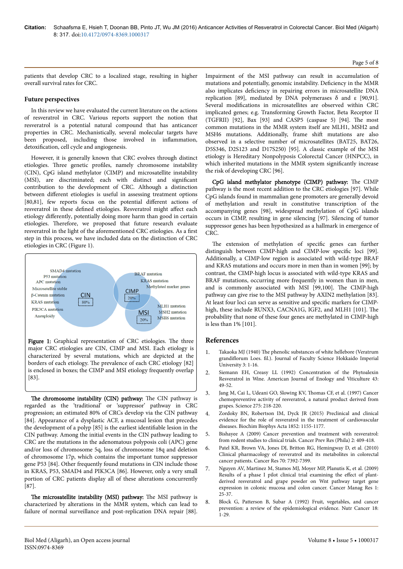patients that develop CRC to a localized stage, resulting in higher overall survival rates for CRC.

## **Future perspectives**

In this review we have evaluated the current literature on the actions of resveratrol in CRC. Various reports support the notion that resveratrol is a potential natural compound that has anticancer properties in CRC. Mechanistically, several molecular targets have been proposed, including those involved in inflammation, detoxification, cell cycle and angiogenesis.

However, it is generally known that CRC evolves through distinct etiologies. Нree genetic profiles, namely chromosome instability (CIN), CpG island methylator (CIMP) and microsatellite instability (MSI), are discriminated; each with distinct and significant contribution to the development of CRC. Although a distinction between different etiologies is useful in assessing treatment options [80,81], few reports focus on the potential different actions of resveratrol in these defined etiologies. Resveratrol might affect each etiology differently, potentially doing more harm than good in certain etiologies. Нerefore, we proposed that future research evaluate resveratrol in the light of the aforementioned CRC etiologies. As a first step in this process, we have included data on the distinction of CRC etiologies in CRC (Figure 1).



The chromosome instability (CIN) pathway: The CIN pathway is regarded as the 'traditional' or 'suppressor' pathway in CRC progression; an estimated 80% of CRCs develop via the CIN pathway [84]. Appearance of a dysplastic ACF, a mucosal lesion that precedes the development of a polyp [85] is the earliest identifiable lesion in the CIN pathway. Among the initial events in the CIN pathway leading to CRC are the mutations in the adenomatous polyposis coli (APC) gene and/or loss of chromosome 5q, loss of chromosome 18q and deletion of chromosome 17p, which contains the important tumor suppressor gene P53 [84]. Other frequently found mutations in CIN include those in KRAS, P53, SMAD4 and PIK3CA [86]. However, only a very small portion of CRC patients display all of these alterations concurrently [87].

The microsatellite instability (MSI) pathway: The MSI pathway is characterized by alterations in the MMR system, which can lead to failure of normal surveillance and post-replication DNA repair [88].

Impairment of the MSI pathway can result in accumulation of mutations and potentially, genomic instability. Deficiency in the MMR also implicates deficiency in repairing errors in microsatellite DNA replication [89], mediated by DNA polymerases δ and ε [90,91]. Several modifications in microsatellites are observed within CRC implicated genes; e.g. Transforming Growth Factor, Beta Receptor II (TGFRII) [92], Bax [93] and CASP5 (caspase 5) [94]. Нe most common mutations in the MMR system itself are MLH1, MSH2 and MSH6 mutations. Additionally, frame shift mutations are also observed in a selective number of microsatellites (BAT25, BAT26, D5S346, D2S123 and D17S250) [95]. A classic example of the MSI etiology is Hereditary Nonpolyposis Colorectal Cancer (HNPCC), in which inherited mutations in the MMR system significantly increase the risk of developing CRC [96].

CpG island methylator phenotype (CIMP) pathway: Нe CIMP pathway is the most recent addition to the CRC etiologies [97]. While CpG islands found in mammalian gene promoters are generally devoid of methylation and result in constitutive transcription of the accompanying genes [98], widespread methylation of CpG islands occurs in CIMP, resulting in gene silencing [97]. Silencing of tumor suppressor genes has been hypothesized as a hallmark in emergence of CRC.

The extension of methylation of specific genes can further distinguish between CIMP-high and CIMP-low specific loci [99]. Additionally, a CIMP-low region is associated with wild-type BRAF and KRAS mutations and occurs more in men than in women [99]; by contrast, the CIMP-high locus is associated with wild-type KRAS and BRAF mutations, occurring more frequently in women than in men, and is commonly associated with MSI [99,100]. Нe CIMP-high pathway can give rise to the MSI pathway by AXIN2 methylation [83]. At least four loci can serve as sensitive and specific markers for CIMPhigh, these include RUNX3, CACNA1G, IGF2, and MLH1 [101]. The probability that none of these four genes are methylated in CIMP-high is less than 1% [101].

## **References**

- Takaoka MJ (1940) The phenolic substances of white hellebore (Veratrum grandiflorum Loes. fil.). Journal of Faculty Science Hokkaido Imperial University 3: 1-16.
- 2. Siemann EH, Creasy LL (1992) Concentration of the Phytoalexin Resveratrol in Wine. American Journal of Enology and Viticulture 43: 49-52.
- 3. Jang M, Cai L, Udeani GO, Slowing KV, Нomas CF, et al. (1997) Cancer chemopreventive activity of resveratrol, a natural product derived from grapes. Science 275: 218-220.
- 4. Zordoky BN, Robertson IM, Dyck JR (2015) Preclinical and clinical evidence for the role of resveratrol in the treatment of cardiovascular diseases. Biochim Biophys Acta 1852: 1155-1177.
- Bishayee A (2009) Cancer prevention and treatment with resveratrol: from rodent studies to clinical trials. Cancer Prev Res (Phila) 2: 409-418.
- 6. Patel KR, Brown VA, Jones DJ, Britton RG, Hemingway D, et al. (2010) Clinical pharmacology of resveratrol and its metabolites in colorectal cancer patients. Cancer Res 70: 7392-7399.
- 7. Nguyen AV, Martinez M, Stamos MJ, Moyer MP, Planutis K, et al. (2009) Results of a phase I pilot clinical trial examining the effect of plantderived resveratrol and grape powder on Wnt pathway target gene expression in colonic mucosa and colon cancer. Cancer Manag Res 1: 25-37.
- 8. Block G, Patterson B, Subar A (1992) Fruit, vegetables, and cancer prevention: a review of the epidemiological evidence. Nutr Cancer 18:  $1 - 29$ .

#### Page 5 of 8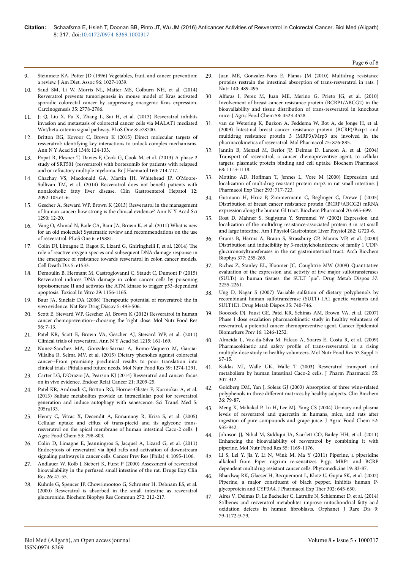- 9. Steinmetz KA, Potter JD (1996) Vegetables, fruit, and cancer prevention: a review. J Am Diet. Assoc 96: 1027-1039.
- 10. Saud SM, Li W, Morris NL, Matter MS, Colburn NH, et al. (2014) Resveratrol prevents tumorigenesis in mouse model of Kras activated sporadic colorectal cancer by suppressing oncogenic Kras expression. Carcinogenesis 35: 2778-2786.
- 11. Ji Q, Liu X, Fu X, Zhang L, Sui H, et al. (2013) Resveratrol inhibits invasion and metastasis of colorectal cancer cells via MALAT1 mediated Wnt/beta-catenin signal pathway. PLoS One 8: e78700.
- 12. Britton RG, Kovoor C, Brown K (2015) Direct molecular targets of resveratrol: identifying key interactions to unlock complex mechanisms. Ann N Y Acad Sci 1348: 124-133.
- 13. Popat R, Plesner T, Davies F, Cook G, Cook M, et al. (2013) A phase 2 study of SRT501 (resveratrol) with bortezomib for patients with relapsed and or refractory multiple myeloma. Br J Haematol 160: 714-717.
- 14. [Chachay VS, Macdonald GA, Martin JH, Whitehead JP, O'Moore-](http://www.sciencedirect.com/science/article/pii/S1542356514003097)[Sullivan TM, et al. \(2014\) Resveratrol does not](http://www.sciencedirect.com/science/article/pii/S1542356514003097) benefit patients with [nonalcoholic fatty liver disease. Clin Gastroenterol Hepatol 12:](http://www.sciencedirect.com/science/article/pii/S1542356514003097) [2092-103.e1-6.](http://www.sciencedirect.com/science/article/pii/S1542356514003097)
- 15. Gescher A, Steward WP, Brown K (2013) Resveratrol in the management of human cancer: how strong is the clinical evidence? Ann N Y Acad Sci 1290: 12-20.
- 16. [Vang O, Ahmad N, Baile CA, Baur JA, Brown K, et al. \(2011\) What is new](http://journals.plos.org/plosone/article?id=10.1371/journal.pone.0019881) [for an old molecule? Systematic review and recommendations on the use](http://journals.plos.org/plosone/article?id=10.1371/journal.pone.0019881) [of resveratrol. PLoS One 6: e19881.](http://journals.plos.org/plosone/article?id=10.1371/journal.pone.0019881)
- 17. Colin DJ, Limagne E, Ragot K, Lizard G, Ghiringhelli F, et al. (2014) Нe role of reactive oxygen species and subsequent DNA-damage response in the emergence of resistance towards resveratrol in colon cancer models. Cell Death Dis 5: e1533.
- 18. Demoulin B, Hermant M, Castrogiovanni C, Staudt C, Dumont P (2015) Resveratrol induces DNA damage in colon cancer cells by poisoning topoisomerase II and activates the ATM kinase to trigger p53-dependent apoptosis. Toxicol In Vitro 29: 1156-1165.
- 19. Baur JA, Sinclair DA (2006) Нerapeutic potential of resveratrol: the in vivo evidence. Nat Rev Drug Discov 5: 493-506.
- 20. Scott E, Steward WP, Gescher AJ, Brown K (2012) Resveratrol in human cancer chemoprevention--choosing the 'right' dose. Mol Nutr Food Res 56: 7-13.
- 21. Patel KR, Scott E, Brown VA, Gescher AJ, Steward WP, et al. (2011) Clinical trials of resveratrol. Ann N Y Acad Sci 1215: 161-169.
- 22. Nunez-Sanchez MA, Gonzalez-Sarrias A, Romo-Vaquero M, Garcia-Villalba R, Selma MV, et al. (2015) Dietary phenolics against colorectal cancer--From promising preclinical results to poor translation into clinical trials: Pitfalls and future needs. Mol Nutr Food Res 59: 1274-1291.
- 23. [Carter LG, D'Orazio JA, Pearson KJ \(2014\) Resveratrol and cancer: focus](http://erc.endocrinology-journals.org/content/early/2014/02/05/ERC-13-0171.full.pdf) [on in vivo evidence. Endocr Relat Cancer 21: R209-25.](http://erc.endocrinology-journals.org/content/early/2014/02/05/ERC-13-0171.full.pdf)
- 24. Patel KR, Andreadi C, Britton RG, Horner-Glister E, Karmokar A, et al. (2013) Sulfate metabolites provide an intracellular pool for resveratrol generation and induce autophagy with senescence. Sci Transl Med 5: 205ra133.
- 25. Henry C, Vitrac X, Decendit A, Ennamany R, Krisa S, et al. (2005) Cellular uptake and efflux of trans-piceid and its aglycone transresveratrol on the apical membrane of human intestinal Caco-2 cells. J Agric Food Chem 53: 798-803.
- 26. Colin D, Limagne E, Jeanningros S, Jacquel A, Lizard G, et al. (2011) Endocytosis of resveratrol via lipid rafts and activation of downstream signaling pathways in cancer cells. Cancer Prev Res (Phila) 4: 1095-1106.
- 27. Andlauer W, Kolb J, Siebert K, Furst P (2000) Assessment of resveratrol bioavailability in the perfused small intestine of the rat. Drugs Exp Clin Res 26: 47-55.
- 28. Kuhnle G, Spencer JP, Chowrimootoo G, Schroeter H, Debnam ES, et al. (2000) Resveratrol is absorbed in the small intestine as resveratrol glucuronide. Biochem Biophys Res Commun 272: 212-217.
- 29. Juan ME, Gonzalez-Pons E, Planas JM (2010) Multidrug resistance proteins restrain the intestinal absorption of trans-resveratrol in rats. J Nutr 140: 489-495.
- 30. Alfaras I, Perez M, Juan ME, Merino G, Prieto JG, et al. (2010) Involvement of breast cancer resistance protein (BCRP1/ABCG2) in the bioavailability and tissue distribution of trans-resveratrol in knockout mice. J Agric Food Chem 58: 4523-4528.
- 31. van de Wetering K, Burkon A, Feddema W, Bot A, de Jonge H, et al. (2009) Intestinal breast cancer resistance protein (BCRP)/Bcrp1 and multidrug resistance protein 3 (MRP3)/Mrp3 are involved in the pharmacokinetics of resveratrol. Mol Pharmacol 75: 876-885.
- 32. Jannin B, Menzel M, Berlot JP, Delmas D, Lancon A, et al. (2004) Transport of resveratrol, a cancer chemopreventive agent, to cellular targets: plasmatic protein binding and cell uptake. Biochem Pharmacol 68: 1113-1118.
- 33. Mottino AD, Hoffman [T, Jennes L, Vore M \(2000\) Expression and](http://jpet.aspetjournals.org/content/293/3/717.full.pdf) [localization of multidrug resistant protein mrp2 in rat small intestine. J](http://jpet.aspetjournals.org/content/293/3/717.full.pdf) [Pharmacol Exp](http://jpet.aspetjournals.org/content/293/3/717.full.pdf) Ther 293: 717-723.
- 34. [Gutmann H, Hruz P, Zimmermann C, Beglinger C, Drewe J \(2005\)](http://www.sciencedirect.com/science/article/pii/S0006295205003709) [Distribution of breast cancer resistance protein \(BCRP/ABCG2\) mRNA](http://www.sciencedirect.com/science/article/pii/S0006295205003709) [expression along the human GI tract. Biochem Pharmacol 70: 695-699.](http://www.sciencedirect.com/science/article/pii/S0006295205003709)
- 35. Rost D, Mahner S, Sugiyama Y, Stremmel W (2002) Expression and localization of the multidrug resistance-associated protein 3 in rat small and large intestine. Am J Physiol Gastrointest Liver Physiol 282: G720-6.
- 36. Grams B, Harms A, Braun S, Strassburg CP, Manns MP, et al. (2000) Distribution and inducibility by 3-methylcholanthrene of family 1 UDPglucuronosyltransferases in the rat gastrointestinal tract. Arch Biochem Biophys 377: 255-265.
- 37. Riches Z, Stanley EL, Bloomer JC, Coughtrie MW (2009) Quantitative evaluation of the expression and activity of five major sulfotransferases (SULTs) in human tissues: the SULT "pie". Drug Metab Dispos 37: 2255-2261.
- 38. Ung D, Nagar S (2007) Variable sulfation of dietary polyphenols by recombinant human sulfotransferase (SULT) 1A1 genetic variants and SULT1E1. Drug Metab Dispos 35: 740-746.
- 39. Boocock DJ, Faust GE, Patel KR, Schinas AM, Brown VA, et al. (2007) Phase I dose escalation pharmacokinetic study in healthy volunteers of resveratrol, a potential cancer chemopreventive agent. Cancer Epidemiol Biomarkers Prev 16: 1246-1252.
- 40. Almeida L, Vaz-da-Silva M, Falcao A, Soares E, Costa R, et al. (2009) Pharmacokinetic and safety profile of trans-resveratrol in a rising multiple-dose study in healthy volunteers. Mol Nutr Food Res 53 Suppl 1: S7-15.
- 41. Kaldas MI, Walle UK, Walle T (2003) Resveratrol transport and metabolism by human intestinal Caco-2 cells. J Pharm Pharmacol 55: 307-312.
- 42. Goldberg DM, Yan J, Soleas GJ (2003) Absorption of three wine-related polyphenols in three different matrices by healthy subjects. Clin Biochem 36: 79-87.
- 43. Meng X, Maliakal P, Lu H, Lee MJ, Yang CS (2004) Urinary and plasma levels of resveratrol and quercetin in humans, mice, and rats after ingestion of pure compounds and grape juice. J Agric Food Chem 52: 935-942.
- 44. Johnson JJ, Nihal M, Siddiqui IA, Scarlett CO, Bailey HH, et al. (2011) Enhancing the bioavailability of resveratrol by combining it with piperine. Mol Nutr Food Res 55: 1169-1176.
- 45. Li S, Lei Y, Jia Y, Li N, Wink M, Ma Y (2011) Piperine, a piperidine alkaloid from Piper nigrum re-sensitizes P-gp, MRP1 and BCRP dependent multidrug resistant cancer cells. Phytomedicine 19: 83-87.
- 46. Bhardwaj RK, Glaeser H, Becquemont L, Klotz U, Gupta SK, et al. (2002) Piperine, a major constituent of black pepper, inhibits human Pglycoprotein and CYP3A4. J Pharmacol Exp Ther 302: 645-650.
- [Aires V, Delmas D, Le Bachelier C,](https://ojrd.biomedcentral.com/articles/10.1186/1750-1172-9-79) Latruffe N, Schlemmer D, et al. (2014) [Stilbenes and resveratrol metabolites improve mitochondrial fatty acid](https://ojrd.biomedcentral.com/articles/10.1186/1750-1172-9-79) [oxidation defects in human](https://ojrd.biomedcentral.com/articles/10.1186/1750-1172-9-79) fibroblasts. Orphanet J Rare Dis 9: [79-1172-9-79.](https://ojrd.biomedcentral.com/articles/10.1186/1750-1172-9-79)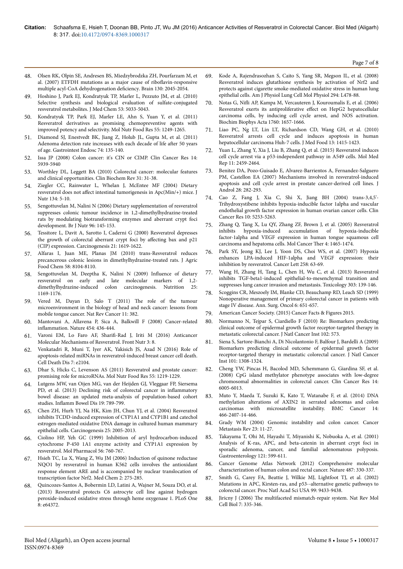- 48. Olsen RK, Olpin SE, Andresen BS, Miedzybrodzka ZH, Pourfarzam M, et al. (2007) ETFDH mutations as a major cause of riboflavin-responsive multiple acyl-CoA dehydrogenation deficiency. Brain 130: 2045-2054.
- 49. Hoshino J, Park EJ, Kondratyuk TP, Marler L, Pezzuto JM, et al. (2010) Selective synthesis and biological evaluation of sulfate-conjugated resveratrol metabolites. J Med Chem 53: 5033-5043.
- 50. Kondratyuk TP, Park EJ, Marler LE, Ahn S, Yuan Y, et al. (2011) Resveratrol derivatives as promising chemopreventive agents with improved potency and selectivity. Mol Nutr Food Res 55: 1249-1265.
- 51. Diamond SJ, Enestvedt BK, Jiang Z, Holub JL, Gupta M, et al. (2011) Adenoma detection rate increases with each decade of life after 50 years of age. Gastrointest Endosc 74: 135-140.
- 52. Issa JP (2008) Colon cancer: it's CIN or CIMP. Clin Cancer Res 14: 5939-5940
- 53. Worthley DL, Leggett BA (2010) Colorectal cancer: molecular features and clinical opportunities. Clin Biochem Rev 31: 31-38.
- 54. Ziegler CC, Rainwater L, Whelan J, McEntee MF (2004) Dietary resveratrol does not affect intestinal tumorigenesis in Apc(Min/+) mice. J Nutr 134: 5-10.
- 55. Sengottuvelan M, Nalini N (2006) Dietary supplementation of resveratrol suppresses colonic tumour incidence in 1,2-dimethylhydrazine-treated rats by modulating biotransforming enzymes and aberrant crypt foci development. Br J Nutr 96: 145-153.
- 56. [Tessitore L, Davit A, Sarotto I, Caderni G \(2000\) Resveratrol depresses](http://carcin.oxfordjournals.org/content/21/8/1619.full.pdf) [the growth of colorectal aberrant crypt foci by](http://carcin.oxfordjournals.org/content/21/8/1619.full.pdf) affecting bax and p21 [\(CIP\) expression. Carcinogenesis 21: 1619-1622.](http://carcin.oxfordjournals.org/content/21/8/1619.full.pdf)
- 57. Alfaras I, Juan ME, Planas JM (2010) trans-Resveratrol reduces precancerous colonic lesions in dimethylhydrazine-treated rats. J Agric Food Chem 58: 8104-8110.
- 58. [Sengottuvelan M, Deeptha K, Nalini N \(2009\)](http://www.sciencedirect.com/science/article/pii/S0899900709001737) Influence of dietary [resveratrol on early and late molecular markers of 1,2](http://www.sciencedirect.com/science/article/pii/S0899900709001737) [dimethylhydrazine-induced colon carcinogenesis. Nutrition 25:](http://www.sciencedirect.com/science/article/pii/S0899900709001737) [1169-1176.](http://www.sciencedirect.com/science/article/pii/S0899900709001737)
- Vered M, Dayan D, Salo T (2011) The role of the tumour microenvironment in the biology of head and neck cancer: lessons from mobile tongue cancer. Nat Rev Cancer 11: 382.
- 60. Mantovani A, Allavena P, Sica A, Balkwill F (2008) Cancer-related inflammation. Nature 454: 436-444.
- 61. Varoni EM, Lo Faro AF, 6harifi-Rad J, Iriti M (2016) Anticancer Molecular Mechanisms of Resveratrol. Front Nutr 3: 8.
- 62. Venkatadri R, Muni T, Iyer AK, Yakisich JS, Azad N (2016) Role of apoptosis-related miRNAs in resveratrol-induced breast cancer cell death. Cell Death Dis 7: e2104.
- 63. Dhar S, Hicks C, Levenson AS (2011) Resveratrol and prostate cancer: promising role for microRNAs. Mol Nutr Food Res 55: 1219-1229.
- 64. Lutgens MW, van Oijen MG, van der Heijden GJ, Vleggaar FP, Siersema PD, et al. (2013) Declining risk of colorectal cancer in inflammatory bowel disease: an updated meta-analysis of population-based cohort studies. Inflamm Bowel Dis 19: 789-799.
- 65. Chen ZH, Hurh YJ, Na HK, Kim JH, Chun YJ, et al. (2004) Resveratrol inhibits TCDD-induced expression of CYP1A1 and CYP1B1 and catechol estrogen-mediated oxidative DNA damage in cultured human mammary epithelial cells. Carcinogenesis 25: 2005-2013.
- 66. Ciolino HP, Yeh GC (1999) Inhibition of aryl hydrocarbon-induced cytochrome P-450 1A1 enzyme activity and CYP1A1 expression by resveratrol. Mol Pharmacol 56: 760-767.
- 67. Hsieh TC, Lu X, Wang Z, Wu JM (2006) Induction of quinone reductase NQO1 by resveratrol in human K562 cells involves the antioxidant response element ARE and is accompanied by nuclear translocation of transcription factor Nrf2. Med Chem 2: 275-285.
- 68. Quincozes-Santos A, Bobermin LD, Latini A, Wajner M, Souza DO, et al. (2013) Resveratrol protects C6 astrocyte cell line against hydrogen peroxide-induced oxidative stress through heme oxygenase 1. PLoS One 8: e64372.
- 69. Kode A, Rajendrasozhan S, Caito S, Yang SR, Megson IL, et al. (2008) Resveratrol induces glutathione synthesis by activation of Nrf2 and protects against cigarette smoke-mediated oxidative stress in human lung epithelial cells. Am J Physiol Lung Cell Mol Physiol 294: L478-88.
- 70. Notas G, Nifli AP, Kampa M, Vercauteren J, Kouroumalis E, et al. (2006) Resveratrol exerts its antiproliferative effect on HepG2 hepatocellular carcinoma cells, by inducing cell cycle arrest, and NOS activation. Biochim Biophys Acta 1760: 1657-1666.
- 71. Liao PC, Ng LT, Lin LT, Richardson CD, Wang GH, et al. (2010) Resveratrol arrests cell cycle and induces apoptosis in human hepatocellular carcinoma Huh-7 cells. J Med Food 13: 1415-1423.
- 72. Yuan L, Zhang Y, Xia J, Liu B, Zhang Q, et al. (2015) Resveratrol induces cell cycle arrest via a p53-independent pathway in A549 cells. Mol Med Rep 11: 2459-2464.
- 73. Benitez DA, Pozo-Guisado E, Alvarez-Barrientos A, Fernandez-Salguero PM, Castellon EA (2007) Mechanisms involved in resveratrol-induced apoptosis and cell cycle arrest in prostate cancer-derived cell lines. J Androl 28: 282-293.
- 74. Cao Z, Fang J, Xia C, Shi X, Jiang BH (2004) trans-3,4,5'- Trihydroxystibene inhibits hypoxia-inducible factor 1alpha and vascular endothelial growth factor expression in human ovarian cancer cells. Clin Cancer Res 10: 5253-5263.
- 75. Zhang Q, Tang X, Lu QY, Zhang ZF, Brown J, et al. (2005) Resveratrol hypoxia-induced accumulation of hypoxia-inducible factor-1alpha and VEGF expression in human tongue squamous cell carcinoma and hepatoma cells. Mol Cancer Нer 4: 1465-1474.
- Park SY, Jeong KJ, Lee J, Yoon DS, Choi WS, et al. (2007) Hypoxia enhances LPA-induced HIF-1alpha and VEGF expression: their inhibition by resveratrol. Cancer Lett 258: 63-69.
- 77. Wang H, Zhang H, Tang L, Chen H, Wu C, et al. (2013) Resveratrol inhibits TGF-beta1-induced epithelial-to-mesenchymal transition and suppresses lung cancer invasion and metastasis. Toxicology 303: 139-146.
- 78. Scoggins CR, Meszoely IM, Blanke CD, Beauchamp RD, Leach SD (1999) Nonoperative management of primary colorectal cancer in patients with stage IV disease. Ann. Surg. Oncol 6: 651-657.
- 79. American Cancer Society. (2015) Cancer Facts & Figures 2015.
- 80. Normanno N, Tejpar S, Ciardiello F (2010) Re: Biomarkers predicting clinical outcome of epidermal growth factor receptor-targeted therapy in metastatic colorectal cancer. J Natl Cancer Inst 102: 573.
- 81. Siena S, Sartore-Bianchi A, Di Nicolantonio F, Balfour J, Bardelli A (2009) Biomarkers predicting clinical outcome of epidermal growth factor receptor-targeted therapy in metastatic colorectal cancer. J Natl Cancer Inst 101: 1308-1324.
- 82. Cheng YW, Pincas H, Bacolod MD, Schemmann G, Giardina SF, et al. (2008) CpG island methylator phenotype associates with low-degree chromosomal abnormalities in colorectal cancer. Clin Cancer Res 14: 6005-6013.
- 83. Muto Y, Maeda T, Suzuki K, Kato T, Watanabe F, et al. (2014) DNA methylation alterations of AXIN2 in serrated adenomas and colon carcinomas with microsatellite instability. BMC Cancer 14: 466-2407-14-466.
- 84. Grady WM (2004) Genomic instability and colon cancer. Cancer Metastasis Rev 23: 11-27.
- 85. Takayama T, Ohi M, Hayashi T, Miyanishi K, Nobuoka A, et al. (2001) Analysis of K-ras, APC, and beta-catenin in aberrant crypt foci in sporadic adenoma, cancer, and familial adenomatous polyposis. Gastroenterology 121: 599-611.
- 86. Cancer Genome Atlas Network (2012) Comprehensive molecular characterization of human colon and rectal cancer. Nature 487: 330-337.
- 87. Smith G, Carey FA, Beattie J, Wilkie MJ, Lightfoot TJ, et al. (2002) Mutations in APC, Kirsten-ras, and p53--alternative genetic pathways to colorectal cancer. Proc Natl Acad Sci USA 99: 9433-9438.
- 88. Jiricny J (2006) The multifaceted mismatch-repair system. Nat Rev Mol Cell Biol 7: 335-346.